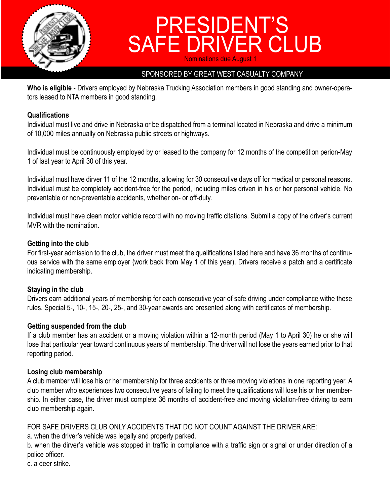

# PRESIDENT'S SAFE DRIVER CLUB **Nominations due August**

### SPONSORED BY GREAT WEST CASUALTY COMPANY

**Who is eligible** - Drivers employed by Nebraska Trucking Association members in good standing and owner-operators leased to NTA members in good standing.

#### **Qualifications**

Individual must live and drive in Nebraska or be dispatched from a terminal located in Nebraska and drive a minimum of 10,000 miles annually on Nebraska public streets or highways.

Individual must be continuously employed by or leased to the company for 12 months of the competition perion-May 1 of last year to April 30 of this year.

Individual must have dirver 11 of the 12 months, allowing for 30 consecutive days off for medical or personal reasons. Individual must be completely accident-free for the period, including miles driven in his or her personal vehicle. No preventable or non-preventable accidents, whether on- or off-duty.

Individual must have clean motor vehicle record with no moving traffic citations. Submit a copy of the driver's current MVR with the nomination.

#### **Getting into the club**

For first-year admission to the club, the driver must meet the qualifications listed here and have 36 months of continuous service with the same employer (work back from May 1 of this year). Drivers receive a patch and a certificate indicating membership.

### **Staying in the club**

Drivers earn additional years of membership for each consecutive year of safe driving under compliance withe these rules. Special 5-, 10-, 15-, 20-, 25-, and 30-year awards are presented along with certificates of membership.

#### **Getting suspended from the club**

If a club member has an accident or a moving violation within a 12-month period (May 1 to April 30) he or she will lose that particular year toward continuous years of membership. The driver will not lose the years earned prior to that reporting period.

### **Losing club membership**

A club member will lose his or her membership for three accidents or three moving violations in one reporting year. A club member who experiences two consecutive years of failing to meet the qualifications will lose his or her membership. In either case, the driver must complete 36 months of accident-free and moving violation-free driving to earn club membership again.

### FOR SAFE DRIVERS CLUB ONLY ACCIDENTS THAT DO NOT COUNT AGAINST THE DRIVER ARE:

a. when the driver's vehicle was legally and properly parked.

b. when the dirver's vehicle was stopped in traffic in compliance with a traffic sign or signal or under direction of a police officer.

c. a deer strike.